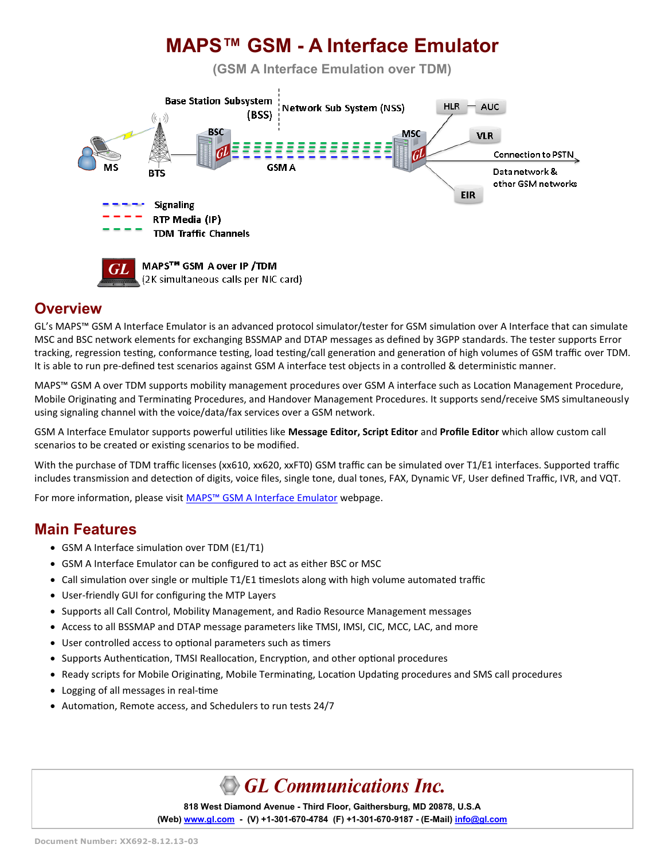

#### **Overview**

GL's MAPS™ GSM A Interface Emulator is an advanced protocol simulator/tester for GSM simulation over A Interface that can simulate MSC and BSC network elements for exchanging BSSMAP and DTAP messages as defined by 3GPP standards. The tester supports Error tracking, regression testing, conformance testing, load testing/call generation and generation of high volumes of GSM traffic over TDM. It is able to run pre-defined test scenarios against GSM A interface test objects in a controlled & deterministic manner.

MAPS™ GSM A over TDM supports mobility management procedures over GSM A interface such as Location Management Procedure, Mobile Originating and Terminating Procedures, and Handover Management Procedures. It supports send/receive SMS simultaneously using signaling channel with the voice/data/fax services over a GSM network.

GSM A Interface Emulator supports powerful utilities like **Message Editor, Script Editor** and **Profile Editor** which allow custom call scenarios to be created or existing scenarios to be modified.

With the purchase of TDM traffic licenses (xx610, xx620, xxFT0) GSM traffic can be simulated over T1/E1 interfaces. Supported traffic includes transmission and detection of digits, voice files, single tone, dual tones, FAX, Dynamic VF, User defined Traffic, IVR, and VQT.

For more information, please visit MAPS™ [GSM A Interface Emulator](https://www.gl.com/gsma-protocol-emulation-over-ip-tdm-using-maps.html) webpage.

#### **Main Features**

- GSM A Interface simulation over TDM (E1/T1)
- GSM A Interface Emulator can be configured to act as either BSC or MSC
- Call simulation over single or multiple T1/E1 timeslots along with high volume automated traffic
- User-friendly GUI for configuring the MTP Layers
- Supports all Call Control, Mobility Management, and Radio Resource Management messages
- Access to all BSSMAP and DTAP message parameters like TMSI, IMSI, CIC, MCC, LAC, and more
- User controlled access to optional parameters such as timers
- Supports Authentication, TMSI Reallocation, Encryption, and other optional procedures
- Ready scripts for Mobile Originating, Mobile Terminating, Location Updating procedures and SMS call procedures
- Logging of all messages in real-time
- Automation, Remote access, and Schedulers to run tests 24/7

# GL Communications Inc.

**818 West Diamond Avenue - Third Floor, Gaithersburg, MD 20878, U.S.A** (Web) [www.gl.com](https://www.gl.com) - (V) +1-301-670-4784 (F) +1-301-670-9187 - (E-Mail) [info@gl.com](https://www.gl.com/inforequestform.php)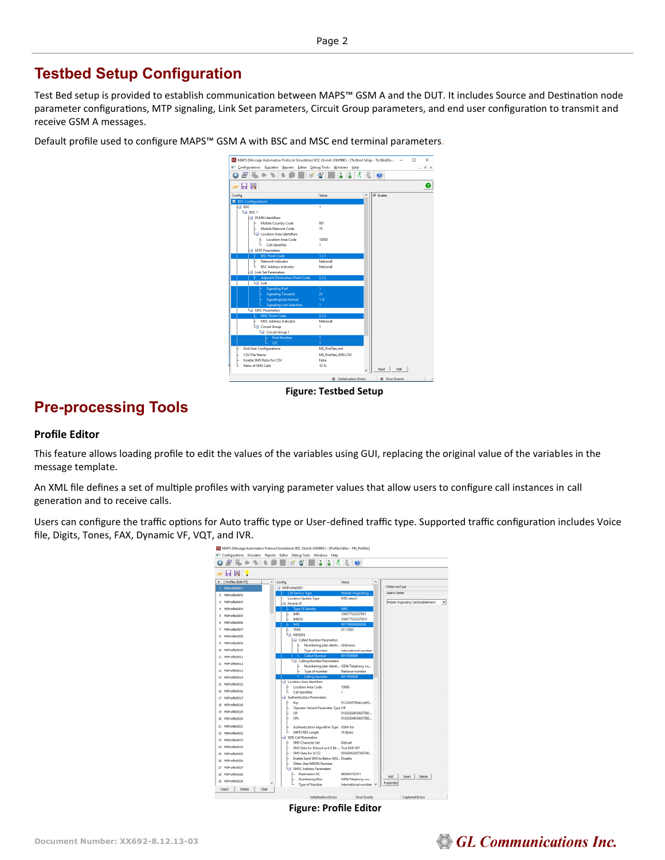### **Testbed Setup Configuration**

Test Bed setup is provided to establish communication between MAPS™ GSM A and the DUT. It includes Source and Destination node parameter configurations, MTP signaling, Link Set parameters, Circuit Group parameters, and end user configuration to transmit and receive GSM A messages.

Default profile used to configure MAPS™ GSM A with BSC and MSC end terminal parameters.



**Figure: Testbed Setup**

### **Pre-processing Tools**

#### **Profile Editor**

This feature allows loading profile to edit the values of the variables using GUI, replacing the original value of the variables in the message template.

An XML file defines a set of multiple profiles with varying parameter values that allow users to configure call instances in call generation and to receive calls.

Users can configure the traffic options for Auto traffic type or User-defined traffic type. Supported traffic configuration includes Voice file, Digits, Tones, FAX, Dynamic VF, VQT, and IVR.



**Figure: Profile Editor**

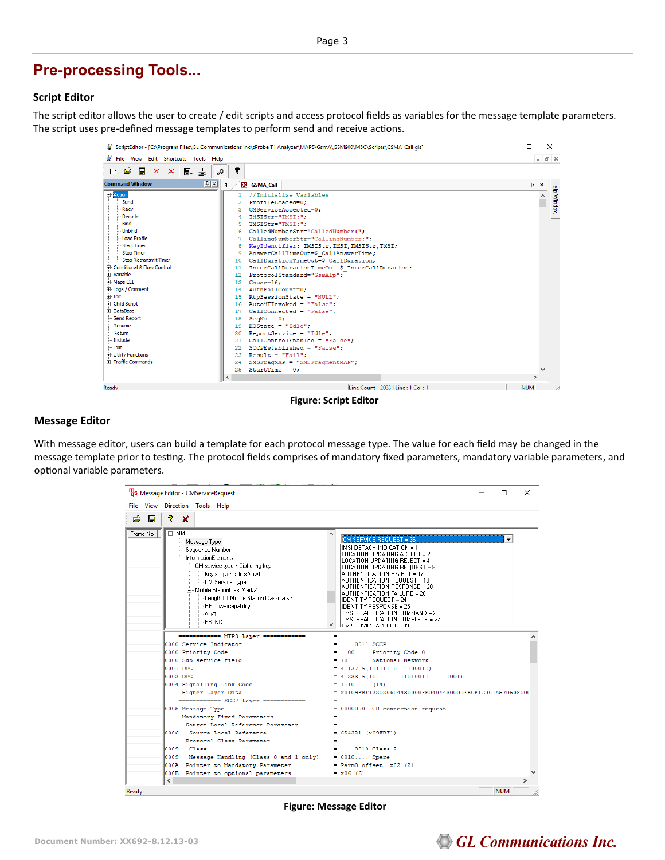#### **Pre-processing Tools...**

#### **Script Editor**

The script editor allows the user to create / edit scripts and access protocol fields as variables for the message template parameters. The script uses pre-defined message templates to perform send and receive actions.

|                                         | ScriptEditor - [C:\Program Files\GL Communications Inc\tProbe T1 Analyzer\MAPS\GsmA\GSM900\MSC\Scripts\GSMA_Call.qls] | п                  | $\times$           |             |
|-----------------------------------------|-----------------------------------------------------------------------------------------------------------------------|--------------------|--------------------|-------------|
| File View Edit Shortcuts Tools Help     |                                                                                                                       |                    | $ \sigma$ $\times$ |             |
| 좋<br><b>B 2 B x ¥</b><br>$\blacksquare$ | P<br>Ö,                                                                                                               |                    |                    |             |
| F[x]<br><b>Command Window</b>           | $\triangleleft$<br>X GSMA Call                                                                                        | $\triangleright$ X |                    |             |
| <b>E</b> -Action                        | //Initialize Variables<br>п                                                                                           |                    |                    | Help Window |
| -Send                                   | ProfileLoaded=0;<br>21                                                                                                |                    |                    |             |
| <b>Recv</b>                             | CMServiceAccepted=0;<br>зі                                                                                            |                    |                    |             |
| - Decode                                | IMSIStr="IMSI:";<br>4                                                                                                 |                    |                    |             |
| - Bind                                  | 5<br>TMSIStr="TMSI:";                                                                                                 |                    |                    |             |
| <b>Unbind</b>                           | CalledNumberStr="CalledNumber:";                                                                                      |                    |                    |             |
| Load Profile                            | CallingNumberStr="CallingNumber:";<br>71                                                                              |                    |                    |             |
| Start Timer                             | KeyIdentifier: IMSIStr, IMSI, TMSIStr, TMSI;<br>81                                                                    |                    |                    |             |
| Stop Timer                              | AnswerCallTimeOut=\$ CallAnswerTime;<br>-91                                                                           |                    |                    |             |
| Stop Retransmit Timer                   | 10 CallDurationTimeOut=\$ CallDuration;                                                                               |                    |                    |             |
| Fi-Conditional & Flow Control           | InterCallDurationTimeOut=\$ InterCallDuration;<br>$11$                                                                |                    |                    |             |
| Fi-Variable                             | ProtocolStandard="GsmAIp";<br>12!                                                                                     |                    |                    |             |
| Fi-Maps CLI                             | Cause=16:<br>13 <sup>1</sup>                                                                                          |                    |                    |             |
| E Logs / Comment                        | AuthFailCount=0:<br>141                                                                                               |                    |                    |             |
| Fi-Init                                 | $15$ RtpSessionState = "NULL";                                                                                        |                    |                    |             |
| E-Child Script                          | $16$ AutoMTInvoked = "False":                                                                                         |                    |                    |             |
| Fi-DataBase                             | 17 CallConnected = "False":                                                                                           |                    |                    |             |
| Send Report                             | $18$ SeqNo = 0;                                                                                                       |                    |                    |             |
| Resume                                  | $HOS$ tate = "Idle":<br>191                                                                                           |                    |                    |             |
| -Return                                 | 20 ReportService = "Idle";                                                                                            |                    |                    |             |
| - Include                               | 21 CallControlEnabled = "False";                                                                                      |                    |                    |             |
| Exit                                    | $22^{\circ}$ SCCPEstablished = "False":                                                                               |                    |                    |             |
| <b>El</b> Utility Functions             | $23$ Result = "Fail";                                                                                                 |                    |                    |             |
| Fi-Traffic Commands                     | SMSFragMAP = "SMSFragmentMAP";<br>24                                                                                  |                    |                    |             |
|                                         | 25 StartTime = $0$ ;                                                                                                  |                    |                    |             |
|                                         | $\hat{\textbf{C}}$                                                                                                    | $\mathcal{P}$      |                    |             |
| Ready                                   | Line Count - 2033   Line : 1 Col : 1                                                                                  | <b>NUM</b>         |                    |             |
|                                         |                                                                                                                       |                    |                    |             |

**Figure: Script Editor**

#### **Message Editor**

With message editor, users can build a template for each protocol message type. The value for each field may be changed in the message template prior to testing. The protocol fields comprises of mandatory fixed parameters, mandatory variable parameters, and optional variable parameters.



**Figure: Message Editor**

# **GL Communications Inc.**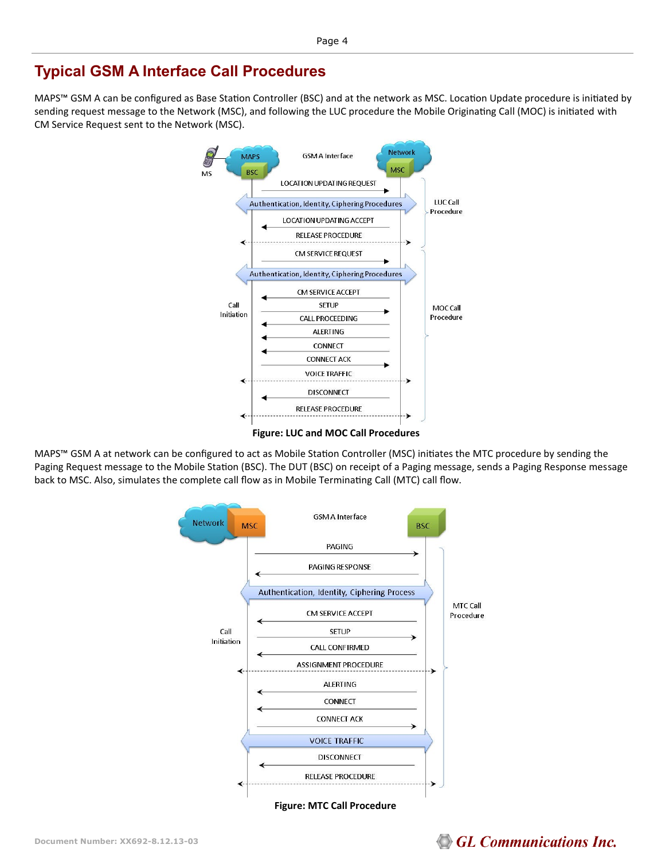### **Typical GSM A Interface Call Procedures**

MAPS™ GSM A can be configured as Base Station Controller (BSC) and at the network as MSC. Location Update procedure is initiated by sending request message to the Network (MSC), and following the LUC procedure the Mobile Originating Call (MOC) is initiated with CM Service Request sent to the Network (MSC).



MAPS™ GSM A at network can be configured to act as Mobile Station Controller (MSC) initiates the MTC procedure by sending the Paging Request message to the Mobile Station (BSC). The DUT (BSC) on receipt of a Paging message, sends a Paging Response message back to MSC. Also, simulates the complete call flow as in Mobile Terminating Call (MTC) call flow.



# GL Communications Inc.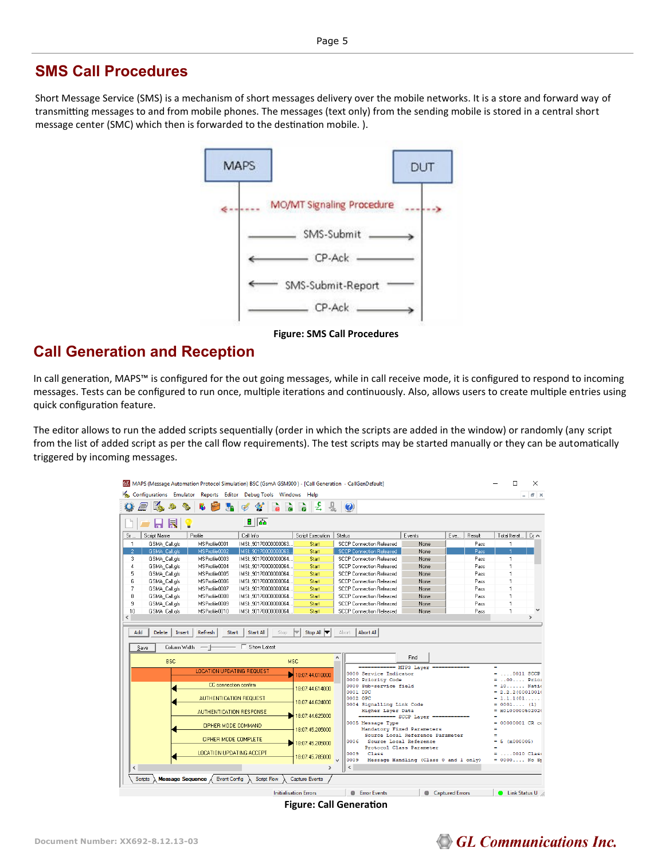#### **SMS Call Procedures**

Short Message Service (SMS) is a mechanism of short messages delivery over the mobile networks. It is a store and forward way of transmitting messages to and from mobile phones. The messages (text only) from the sending mobile is stored in a central short message center (SMC) which then is forwarded to the destination mobile. ).



**Figure: SMS Call Procedures** 

#### **Call Generation and Reception**

In call generation, MAPS™ is configured for the out going messages, while in call receive mode, it is configured to respond to incoming messages. Tests can be configured to run once, multiple iterations and continuously. Also, allows users to create multiple entries using quick configuration feature.

The editor allows to run the added scripts sequentially (order in which the scripts are added in the window) or randomly (any script from the list of added script as per the call flow requirements). The test scripts may be started manually or they can be automatically triggered by incoming messages.

| MAPS (Message Automation Protocol Simulation) BSC (GsmA GSM900) - [Call Generation - CallGenDefault]                       |                         |                                                                                      |                                       |                | п                                                | ×             |
|----------------------------------------------------------------------------------------------------------------------------|-------------------------|--------------------------------------------------------------------------------------|---------------------------------------|----------------|--------------------------------------------------|---------------|
| Configurations Emulator Reports Editor Debug-Tools Windows Help                                                            |                         |                                                                                      |                                       |                |                                                  | Đ<br>l x      |
| ಡ                                                                                                                          | $\frac{c}{4}$           | $\bullet$                                                                            |                                       |                |                                                  |               |
| 8   楍                                                                                                                      |                         |                                                                                      |                                       |                |                                                  |               |
| Script Name<br>Profile<br>Sr<br>Call Info                                                                                  | <b>Script Execution</b> | Status                                                                               | Events                                | Eve.<br>Result | Total Iterat                                     | Cc A          |
| MSProfile0001<br>IMSI: 90170000000063.<br>$\mathbf{1}$<br>GSMA Call.gls                                                    | Start                   | <b>SCCP Connection Released</b>                                                      | None                                  |                | Pass<br>$\mathbf{1}$                             |               |
| $\overline{2}$<br>GSMA Call gls<br>MSProfile0002<br>IMSI: ,90170000000063.                                                 | Start                   | <b>SCCP Connection Released</b>                                                      | None                                  |                | Pass                                             |               |
| 3<br>GSMA Call.gls<br>MSProfile0003<br>IMSI: .90170000000064                                                               | Start                   | <b>SCCP Connection Released</b>                                                      | None                                  |                | Pass<br>$\mathbf{1}$                             |               |
| MSProfile0004<br>4<br>GSMA_Call.gls<br>IMSI: 90170000000064                                                                | Start                   | <b>SCCP Connection Released</b>                                                      | None                                  |                | Pass<br>1                                        |               |
| 5<br>MSProfile0005<br>GSMA Call.gls<br>IMSI: 90170000000064                                                                | Start                   | <b>SCCP Connection Released</b>                                                      | None                                  |                | Pass<br>1                                        |               |
| 6<br>GSMA Call.gls<br>MSProfile0006<br>IMSI: .90170000000064                                                               | Start                   | <b>SCCP Connection Released</b>                                                      | None                                  |                | Pass<br>1                                        |               |
| 7<br>MSProfile0007<br>GSMA Call.gls<br>IMSI: 90170000000064                                                                | Start                   | <b>SCCP Connection Released</b>                                                      | None                                  |                | Pass                                             |               |
| 8<br>GSMA_Call.gls<br>MSProfile0008<br>IMSI:.90170000000064                                                                | Start                   | <b>SCCP Connection Released</b>                                                      | None                                  |                | Pass<br>1                                        |               |
| 9<br>GSMA Call.gls<br>MSProfile0009<br>IMSI: 90170000000064                                                                | Start                   | <b>SCCP Connection Released</b>                                                      | None                                  |                | Pass<br>1                                        |               |
| 10<br>GSMA Call als<br>MSProfile0010<br>IMSI: 90170000000064                                                               | Start                   | <b>SCCP Connection Released</b>                                                      | None                                  |                | Pass<br>1                                        |               |
| $\overline{\phantom{a}}$                                                                                                   |                         |                                                                                      |                                       |                |                                                  | $\rightarrow$ |
| Refresh<br>Start All<br>Add<br><b>Delete</b><br><b>Start</b><br>Insert<br>□ Show Latest<br>Column Width<br>$-+$<br>$S$ ave | Stop All<br>Stop        | <b>Abort All</b><br>Abort                                                            |                                       |                |                                                  |               |
| <b>BSC</b>                                                                                                                 | $\land$<br><b>MSC</b>   |                                                                                      | Find                                  |                |                                                  |               |
| <b>LOCATION UPDATING REQUEST</b>                                                                                           | 18:07:44.018000         | ============ MTP3 Laver ============<br>0000 Service Indicator<br>0000 Priority Code |                                       |                | $\blacksquare$<br>$=$ 0011 SCCP<br>$= .00$ Prior |               |
| CC connection confirm                                                                                                      | 18:07:44.614000         | 0000 Sub-service field                                                               |                                       |                | $= 10$ Natio                                     |               |
|                                                                                                                            |                         | 0001 DPC                                                                             |                                       |                | $= 2.2.2(00010010)$                              |               |
| AUTHENTICATION REQUEST                                                                                                     | 18:07:44.624000         | 0002 OPC<br>0004 Signalling Link Code                                                |                                       |                | $= 1.1.1(01$<br>$= 0001$ (1)                     |               |
| <b>AUTHENTICATION RESPONSE</b>                                                                                             |                         | Higher Layer Data                                                                    |                                       |                | $=$ $x0100000502020$                             |               |
|                                                                                                                            | 18:07:44.625000         | ------------ SCCP Layer ==                                                           |                                       |                |                                                  |               |
| CIPHER MODE COMMAND                                                                                                        |                         | 0005 Message Type                                                                    |                                       |                | 00000001 CR co                                   |               |
| 18:07:45.205000<br>Mandatory Fixed Parameters<br>۰<br>Source Local Reference Parameter<br>$\overline{\phantom{a}}$         |                         |                                                                                      |                                       |                |                                                  |               |
| CIPHER MODE COMPLETE                                                                                                       |                         |                                                                                      |                                       |                |                                                  |               |
|                                                                                                                            |                         | 0006<br>Source Local Reference                                                       |                                       |                | $= 5 (x000005)$                                  |               |
|                                                                                                                            | 18:07:45.205000         |                                                                                      | Protocol Class Parameter              |                |                                                  |               |
| LOCATION UPDATING ACCEPT                                                                                                   | 18:07:45.785000         | 0009<br>Class                                                                        |                                       |                | $=$ 0010 Class                                   |               |
|                                                                                                                            |                         | 0009                                                                                 | Message Handling (Class 0 and 1 only) |                | $= 0000$ No St                                   |               |
| $\overline{\phantom{a}}$                                                                                                   | $\rightarrow$           | $\checkmark$                                                                         |                                       |                |                                                  |               |
| Message Sequence /<br><b>Event Config</b><br><b>Script Flow</b><br><b>Scripts</b>                                          | <b>Capture Events</b>   |                                                                                      |                                       |                |                                                  |               |

**Figure: Call Generation**

### **GL Communications Inc.**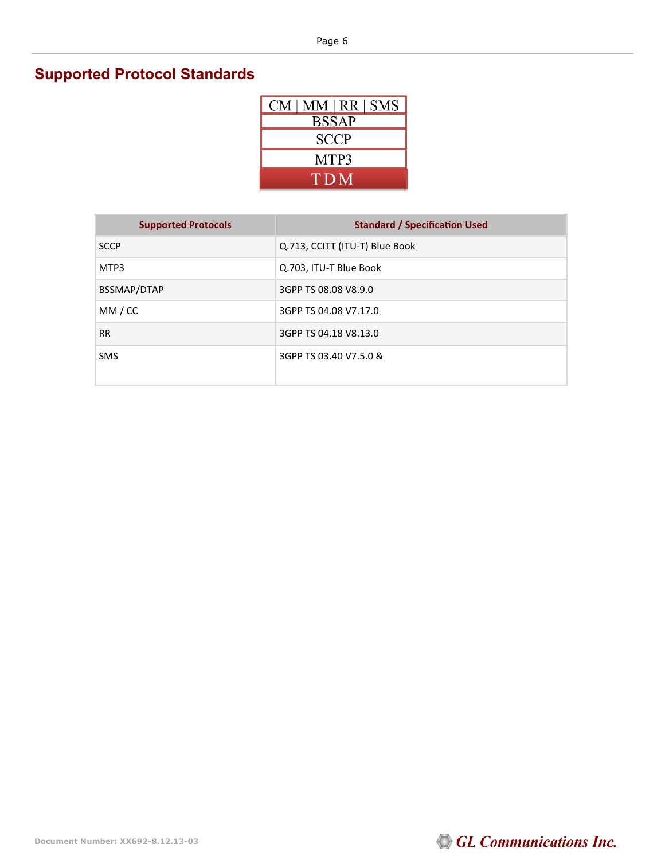# **Supported Protocol Standards**

| $CM$   MM   RR   SMS |
|----------------------|
| <b>BSSAP</b>         |
| <b>SCCP</b>          |
| MTP3                 |
| TDM                  |

| <b>Supported Protocols</b> | <b>Standard / Specification Used</b> |
|----------------------------|--------------------------------------|
| <b>SCCP</b>                | Q.713, CCITT (ITU-T) Blue Book       |
| MTP3                       | Q.703, ITU-T Blue Book               |
| BSSMAP/DTAP                | 3GPP TS 08.08 V8.9.0                 |
| MM / CC                    | 3GPP TS 04.08 V7.17.0                |
| <b>RR</b>                  | 3GPP TS 04.18 V8.13.0                |
| <b>SMS</b>                 | 3GPP TS 03.40 V7.5.0 &               |

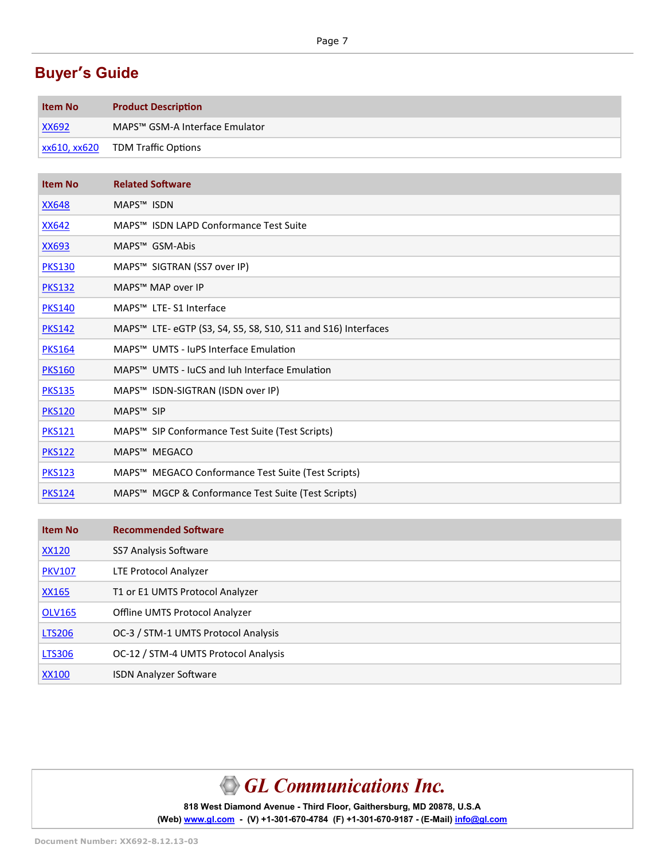## **Buyer's Guide**

| <b>Item No</b>             | <b>Product Description</b>                 |
|----------------------------|--------------------------------------------|
| XX692                      | MAPS <sup>™</sup> GSM-A Interface Emulator |
| $\overline{)$ xx610, xx620 | <b>TDM Traffic Options</b>                 |

| <b>Item No</b> | <b>Related Software</b>                                                   |
|----------------|---------------------------------------------------------------------------|
| <b>XX648</b>   | MAPS <sup>™</sup> ISDN                                                    |
| <b>XX642</b>   | MAPS <sup>™</sup> ISDN LAPD Conformance Test Suite                        |
| <b>XX693</b>   | MAPS™ GSM-Abis                                                            |
| <b>PKS130</b>  | MAPS™ SIGTRAN (SS7 over IP)                                               |
| <b>PKS132</b>  | MAPS™ MAP over IP                                                         |
| <b>PKS140</b>  | MAPS <sup>™</sup> LTE-S1 Interface                                        |
| <b>PKS142</b>  | MAPS <sup>™</sup> LTE- eGTP (S3, S4, S5, S8, S10, S11 and S16) Interfaces |
| <b>PKS164</b>  | MAPS™ UMTS - JuPS Interface Emulation                                     |
| <b>PKS160</b>  | MAPS™ UMTS - JuCS and Juh Interface Emulation                             |
| <b>PKS135</b>  | MAPS™ ISDN-SIGTRAN (ISDN over IP)                                         |
| <b>PKS120</b>  | MAPS <sup>™</sup> SIP                                                     |
| <b>PKS121</b>  | MAPS™ SIP Conformance Test Suite (Test Scripts)                           |
| <b>PKS122</b>  | MAPS™ MEGACO                                                              |
| <b>PKS123</b>  | MAPS™ MEGACO Conformance Test Suite (Test Scripts)                        |
| <b>PKS124</b>  | MAPS™ MGCP & Conformance Test Suite (Test Scripts)                        |

| <b>Item No</b> | <b>Recommended Software</b>          |
|----------------|--------------------------------------|
| <u>XX120</u>   | SS7 Analysis Software                |
| <b>PKV107</b>  | LTE Protocol Analyzer                |
| <b>XX165</b>   | T1 or E1 UMTS Protocol Analyzer      |
| <b>OLV165</b>  | Offline UMTS Protocol Analyzer       |
| <b>LTS206</b>  | OC-3 / STM-1 UMTS Protocol Analysis  |
| <b>LTS306</b>  | OC-12 / STM-4 UMTS Protocol Analysis |
| XX100          | <b>ISDN Analyzer Software</b>        |

# GL Communications Inc.

**818 West Diamond Avenue - Third Floor, Gaithersburg, MD 20878, U.S.A** (Web) [www.gl.com](https://www.gl.com) - (V) +1-301-670-4784 (F) +1-301-670-9187 - (E-Mail) [info@gl.com](https://www.gl.com/inforequestform.php)